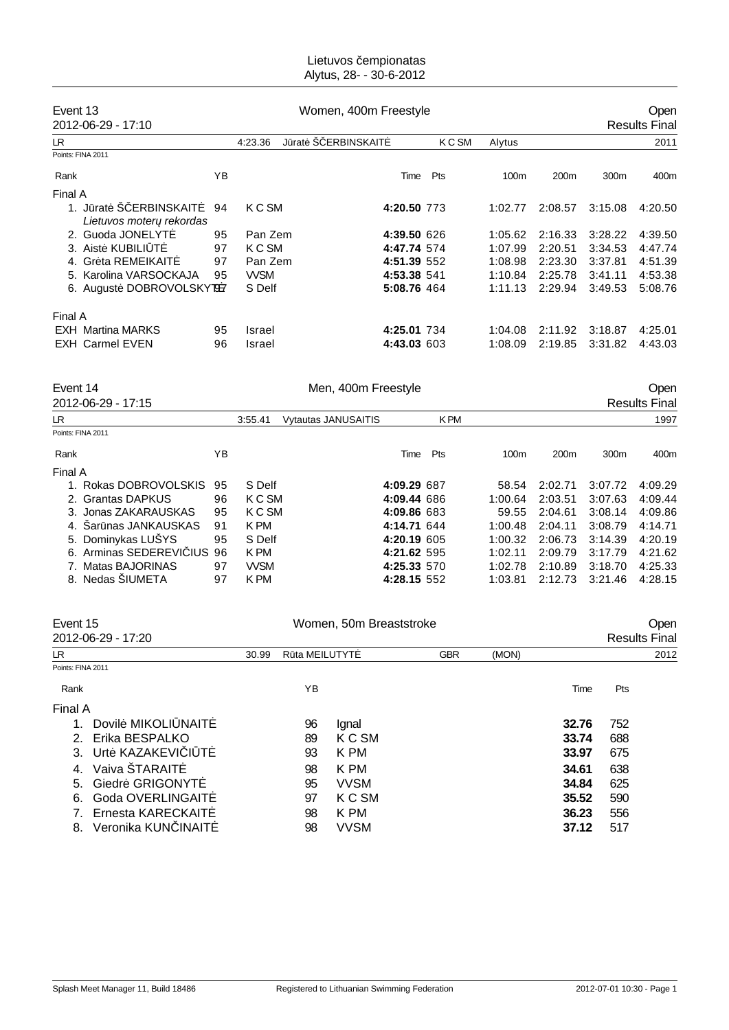### Lietuvos empionatas Alytus, 28- - 30-6-2012

| Event 13 |                          |    |              | Women, 400m Freestyle |        |                  | <b>Open</b>      |                  |         |
|----------|--------------------------|----|--------------|-----------------------|--------|------------------|------------------|------------------|---------|
|          | 2012-06-29 - 17:10       |    |              | <b>Results Final</b>  |        |                  |                  |                  |         |
| LR.      |                          |    | 4:23.36<br>J | rat S ERBINSKAIT      | K C SM | Alytus           |                  |                  | 2011    |
|          | Points: FINA 2011        |    |              |                       |        |                  |                  |                  |         |
| Rank     |                          | ΥB |              | Time                  | Pts    | 100 <sub>m</sub> | 200 <sub>m</sub> | 300 <sub>m</sub> | 400m    |
| Final A  |                          |    |              |                       |        |                  |                  |                  |         |
|          | rat S ERBINSKAIT         | 94 | K C SM       | 4:20.50 773           |        | 1:02.77          | 2:08.57          | 3:15.08          | 4:20.50 |
|          | Lietuvos moter rekordas  |    |              |                       |        |                  |                  |                  |         |
|          | 2. Guoda JONELYT         | 95 | Pan Zem      | 4:39.50 626           |        | 1:05.62          | 2:16.33          | 3:28.22          | 4:39.50 |
|          | 3. Aist KUBILI T         | 97 | K C SM       | 4:47.74 574           |        | 1:07.99          | 2:20.51          | 3:34.53          | 4:47.74 |
|          | 4. Gr ta REMEIKAIT       | 97 | Pan Zem      | 4:51.39 552           |        | 1:08.98          | 2:23.30          | 3:37.81          | 4:51.39 |
|          | 5. Karolina VARSOCKAJA   | 95 | <b>WSM</b>   | 4:53.38 541           |        | 1:10.84          | 2:25.78          | 3:41.11          | 4:53.38 |
|          | 6. August DOBROVOLSKYT97 |    | S Delf       | 5:08.76 464           |        | 1:11.13          | 2:29.94          | 3:49.53          | 5:08.76 |
| Final A  |                          |    |              |                       |        |                  |                  |                  |         |
|          | <b>EXH</b> Martina MARKS | 95 | Israel       | 4:25.01 734           |        | 1:04.08          | 2:11.92          | 3:18.87          | 4:25.01 |
|          | <b>EXH Carmel EVEN</b>   | 96 | Israel       | 4:43.03 603           |        | 1:08.09          | 2:19.85          | 3:31.82          | 4:43.03 |

Event 14 Communication of the Men, 400m Freestyle Communication of the Open

| 2012-06-29 - 17:15         |    |            |                            |             |            |         |                  |         | <b>Results Final</b> |
|----------------------------|----|------------|----------------------------|-------------|------------|---------|------------------|---------|----------------------|
| LR                         |    | 3:55.41    | <b>Vytautas JANUSAITIS</b> |             | <b>KPM</b> |         |                  |         | 1997                 |
| Points: FINA 2011          |    |            |                            |             |            |         |                  |         |                      |
| Rank                       | YB |            |                            | Time        | Pts        | 100m    | 200 <sub>m</sub> | 300m    | 400m                 |
| Final A                    |    |            |                            |             |            |         |                  |         |                      |
| 1. Rokas DOBROVOLSKIS      | 95 | S Delf     |                            | 4:09.29 687 |            | 58.54   | 2:02.71          | 3:07.72 | 4:09.29              |
| 2. Grantas DAPKUS          | 96 | K C SM     |                            | 4:09.44 686 |            | 1:00.64 | 2:03.51          | 3:07.63 | 4:09.44              |
| 3. Jonas ZAKARAUSKAS       | 95 | K C SM     |                            | 4:09.86 683 |            | 59.55   | 2:04.61          | 3:08.14 | 4:09.86              |
| 4. Sar nas JANKAUSKAS      | 91 | K PM       |                            | 4:14.71 644 |            | 1:00.48 | 2:04.11          | 3:08.79 | 4:14.71              |
| 5. Dominykas LUŠYS         | 95 | S Delf     |                            | 4:20.19 605 |            | 1:00.32 | 2:06.73          | 3:14.39 | 4:20.19              |
| 6. Arminas SEDEREVI IUS 96 |    | K PM       |                            | 4:21.62 595 |            | 1:02.11 | 2:09.79          | 3:17.79 | 4:21.62              |
| 7. Matas BAJORINAS         | 97 | <b>WSM</b> |                            | 4:25.33 570 |            | 1:02.78 | 2:10.89          | 3:18.70 | 4:25.33              |
| 8. Nedas SIUMETA           | 97 | K PM       |                            | 4:28.15 552 |            | 1:03.81 | 2:12.73          | 3:21.46 | 4:28.15              |

|                    | Women, 50m Breaststroke                                                                |    |             |               |       |       |     | Open                 |
|--------------------|----------------------------------------------------------------------------------------|----|-------------|---------------|-------|-------|-----|----------------------|
|                    | 30.99                                                                                  |    |             | <b>GBR</b>    | (MON) |       |     | 2012                 |
|                    |                                                                                        |    |             |               |       |       |     |                      |
|                    |                                                                                        | ΥB |             |               |       | Time  | Pts |                      |
|                    |                                                                                        |    |             |               |       |       |     |                      |
| Dovil MIKOLI NAIT  |                                                                                        | 96 | Ignal       |               |       | 32.76 | 752 |                      |
| Erika BESPALKO     |                                                                                        | 89 | K C SM      |               |       | 33.74 | 688 |                      |
| Urt KAZAKEVI I T   |                                                                                        | 93 | K PM        |               |       | 33.97 | 675 |                      |
| Vaiva ŠTARAIT      |                                                                                        | 98 | K PM        |               |       | 34.61 | 638 |                      |
| Giedr GRIGONYT     |                                                                                        | 95 | <b>VVSM</b> |               |       | 34.84 | 625 |                      |
| Goda OVERLINGAIT   |                                                                                        | 97 | K C SM      |               |       | 35.52 | 590 |                      |
| Ernesta KARECKAIT  |                                                                                        | 98 | K PM        |               |       | 36.23 | 556 |                      |
| Veronika KUN INAIT |                                                                                        | 98 | <b>VVSM</b> |               |       | 37.12 | 517 |                      |
|                    | Event 15<br>2012-06-29 - 17:20<br>Points: FINA 2011<br>Final A<br>2.<br>3.<br>4.<br>5. |    |             | R ta MEILUTYT |       |       |     | <b>Results Final</b> |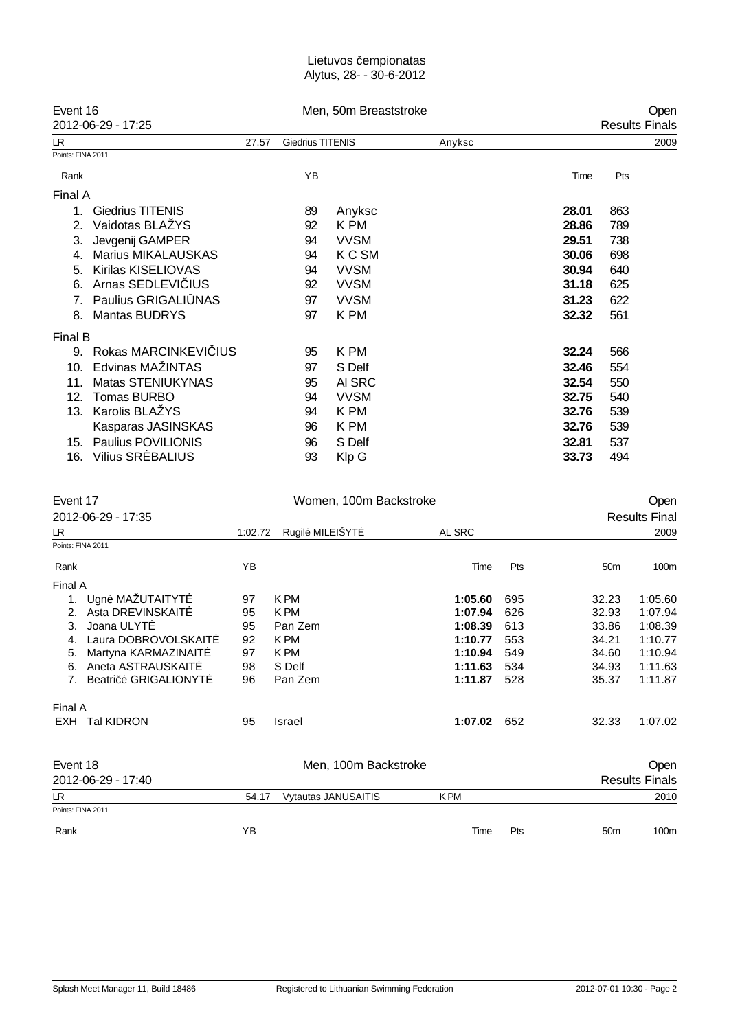#### Lietuvos empionatas Alytus, 28- - 30-6-2012

|                   | Event 16                  |       |                         | Men, 50m Breaststroke |        |                       | Oper |  |
|-------------------|---------------------------|-------|-------------------------|-----------------------|--------|-----------------------|------|--|
|                   | 2012-06-29 - 17:25        |       |                         |                       |        | <b>Results Finals</b> |      |  |
| LR                |                           | 27.57 | <b>Giedrius TITENIS</b> |                       | Anyksc |                       | 2009 |  |
| Points: FINA 2011 |                           |       |                         |                       |        |                       |      |  |
| Rank              |                           |       | ΥB                      |                       |        | Time                  | Pts  |  |
| Final A           |                           |       |                         |                       |        |                       |      |  |
| 1.                | <b>Giedrius TITENIS</b>   |       | 89                      | Anyksc                |        | 28.01                 | 863  |  |
| 2.                | Vaidotas BLAŽYS           |       | 92                      | K PM                  |        | 28.86                 | 789  |  |
| 3.                | Jevgenij GAMPER           |       | 94                      | <b>VVSM</b>           |        | 29.51                 | 738  |  |
| 4.                | <b>Marius MIKALAUSKAS</b> |       | 94                      | <b>KCSM</b>           |        | 30.06                 | 698  |  |
| 5.                | Kirilas KISELIOVAS        |       | 94                      | <b>VVSM</b>           |        | 30.94                 | 640  |  |
| 6.                | Arnas SEDLEVI IUS         |       | 92                      | <b>VVSM</b>           |        | 31.18                 | 625  |  |
| 7.                | Paulius GRIGALI NAS       |       | 97                      | <b>VVSM</b>           |        | 31.23                 | 622  |  |
| 8.                | Mantas BUDRYS             |       | 97                      | K PM                  |        | 32.32                 | 561  |  |
| Final B           |                           |       |                         |                       |        |                       |      |  |
| 9.                | Rokas MARCINKEVI IUS      |       | 95                      | K PM                  |        | 32.24                 | 566  |  |
| 10.               | Edvinas MAŽINTAS          |       | 97                      | S Delf                |        | 32.46                 | 554  |  |
| 11.               | Matas STENIUKYNAS         |       | 95                      | AI SRC                |        | 32.54                 | 550  |  |
| 12.               | Tomas BURBO               |       | 94                      | <b>VVSM</b>           |        | 32.75                 | 540  |  |
| 13.               | Karolis BLAŽYS            |       | 94                      | K PM                  |        | 32.76                 | 539  |  |
|                   | Kasparas JASINSKAS        |       | 96                      | K PM                  |        | 32.76                 | 539  |  |
| 15.               | Paulius POVILIONIS        |       | 96                      | S Delf                |        | 32.81                 | 537  |  |
| 16.               | <b>Vilius SR BALIUS</b>   |       | 93                      | Klp G                 |        | 33.73                 | 494  |  |

| Event 17                                       |         | Women, 100m Backstroke     |            |     | Open                 |                       |  |
|------------------------------------------------|---------|----------------------------|------------|-----|----------------------|-----------------------|--|
| 2012-06-29 - 17:35                             |         |                            |            |     | <b>Results Final</b> |                       |  |
| LR.                                            | 1:02.72 | Rugil MILEIŠYT             | AL SRC     |     |                      | 2009                  |  |
| Points: FINA 2011                              |         |                            |            |     |                      |                       |  |
| Rank                                           | YB      |                            | Time       | Pts | 50 <sub>m</sub>      | 100m                  |  |
| Final A                                        |         |                            |            |     |                      |                       |  |
| Ugn MAŽUTAITYT<br>1.                           | 97      | K PM                       | 1:05.60    | 695 | 32.23                | 1:05.60               |  |
| Asta DREVINSKAIT<br>2.                         | 95      | K PM                       | 1:07.94    | 626 | 32.93                | 1:07.94               |  |
| Joana ULYT<br>3.                               | 95      | Pan Zem                    | 1:08.39    | 613 | 33.86                | 1:08.39               |  |
| Laura DOBROVOLSKAIT<br>4.                      | 92      | K PM                       | 1:10.77    | 553 | 34.21                | 1:10.77               |  |
| Martyna KARMAZINAIT<br>5.                      | 97      | K PM                       | 1:10.94    | 549 | 34.60                | 1:10.94               |  |
| Aneta ASTRAUSKAIT<br>6.                        | 98      | S Delf                     | 1:11.63    | 534 | 34.93                | 1:11.63               |  |
| <b>GRIGALIONYT</b><br>7 <sub>1</sub><br>Beatri | 96      | Pan Zem                    | 1:11.87    | 528 | 35.37                | 1:11.87               |  |
| Final A                                        |         |                            |            |     |                      |                       |  |
| <b>Tal KIDRON</b><br>EXH                       | 95      | Israel                     | 1:07.02    | 652 | 32.33                | 1:07.02               |  |
| Event 18                                       |         | Men, 100m Backstroke       |            |     |                      | Open                  |  |
| 2012-06-29 - 17:40                             |         |                            |            |     |                      | <b>Results Finals</b> |  |
| LR.                                            | 54.17   | <b>Vytautas JANUSAITIS</b> | <b>KPM</b> |     |                      | 2010                  |  |
| Points: FINA 2011                              |         |                            |            |     |                      |                       |  |
| Rank                                           | ΥB      |                            | Time       | Pts | 50 <sub>m</sub>      | 100m                  |  |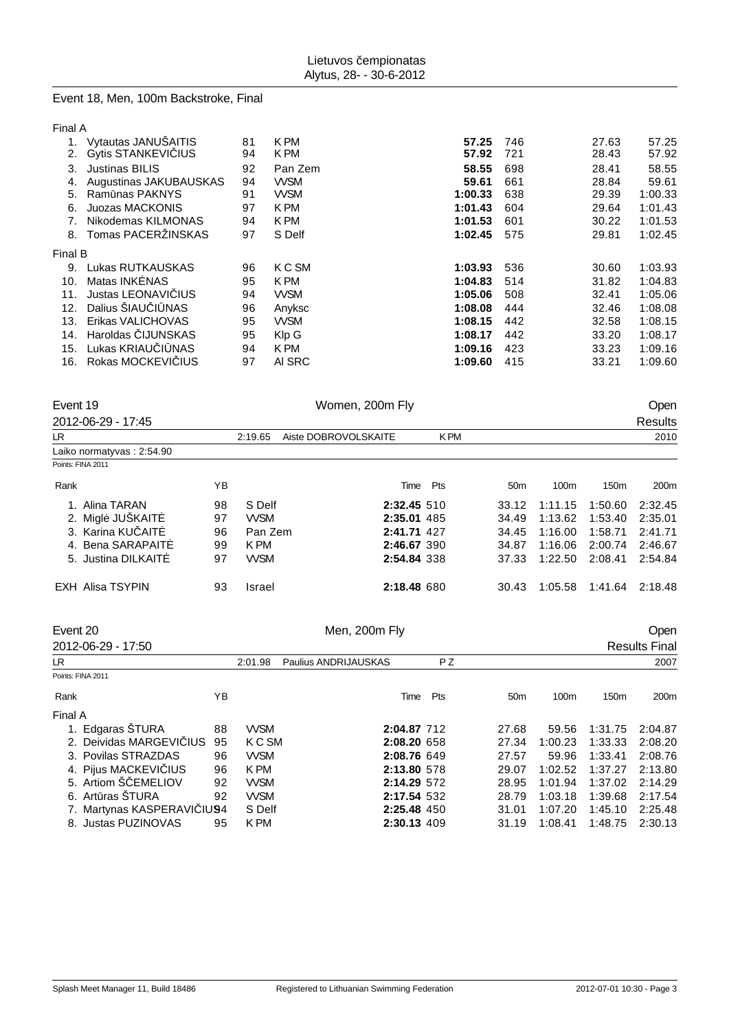# Event 18, Men, 100m Backstroke, Final

| п<br>. . |  |
|----------|--|
| ×        |  |

|         | Vytautas JANUŠAITIS       | 81 | K PM       | 57.25   | 746 | 27.63 | 57.25   |
|---------|---------------------------|----|------------|---------|-----|-------|---------|
| 2.      | <b>Gytis STANKEVI IUS</b> | 94 | K PM       | 57.92   | 721 | 28.43 | 57.92   |
| 3.      | <b>Justinas BILIS</b>     | 92 | Pan Zem    | 58.55   | 698 | 28.41 | 58.55   |
| 4.      | Augustinas JAKUBAUSKAS    | 94 | <b>WSM</b> | 59.61   | 661 | 28.84 | 59.61   |
| 5.      | Ram nas PAKNYS            | 91 | <b>WSM</b> | 1:00.33 | 638 | 29.39 | 1:00.33 |
| 6.      | Juozas MACKONIS           | 97 | K PM       | 1:01.43 | 604 | 29.64 | 1:01.43 |
|         | Nikodemas KILMONAS        | 94 | K PM       | 1:01.53 | 601 | 30.22 | 1:01.53 |
|         | 8. Tomas PACERZINSKAS     | 97 | S Delf     | 1:02.45 | 575 | 29.81 | 1:02.45 |
| Final B |                           |    |            |         |     |       |         |
| 9.      | Lukas RUTKAUSKAS          | 96 | K C SM     | 1:03.93 | 536 | 30.60 | 1:03.93 |
| 10.     | Matas INK NAS             | 95 | K PM       | 1:04.83 | 514 | 31.82 | 1:04.83 |
| 11.     | Justas LEONAVI IUS        | 94 | <b>WSM</b> | 1:05.06 | 508 | 32.41 | 1:05.06 |
| 12.     | Dalius SIAU   NAS         | 96 | Anyksc     | 1:08.08 | 444 | 32.46 | 1:08.08 |
| 13.     | Erikas VALICHOVAS         | 95 | <b>WSM</b> | 1:08.15 | 442 | 32.58 | 1:08.15 |
| 14.     | Haroldas IJUNSKAS         | 95 | Klp G      | 1:08.17 | 442 | 33.20 | 1:08.17 |
| 15.     | Lukas KRIAU   NAS         | 94 | K PM       | 1:09.16 | 423 | 33.23 | 1:09.16 |
| 16.     | Rokas MOCKEVI IUS         | 97 | AI SRC     | 1:09.60 | 415 | 33.21 | 1:09.60 |
|         |                           |    |            |         |     |       |         |

| Event 19 | 2012-06-29 - 17:45         |             | Women, 200m Fly |                      |      |                |                 |         |         | Open<br><b>Results</b> |
|----------|----------------------------|-------------|-----------------|----------------------|------|----------------|-----------------|---------|---------|------------------------|
| LR       |                            |             | 2:19.65         | Aiste DOBROVOLSKAITE |      | <b>KPM</b>     |                 |         |         | 2010                   |
|          | Laiko normatyvas : 2:54.90 |             |                 |                      |      |                |                 |         |         |                        |
|          | Points: FINA 2011          |             |                 |                      |      |                |                 |         |         |                        |
| Rank     |                            | ΥB          |                 |                      |      | Time Pts       | 50 <sub>m</sub> | 100m    | 150m    | 200m                   |
|          | Alina TARAN                | 98          | S Delf          | 2:32.45 510          |      |                | 33.12           | 1:11.15 | 1:50.60 | 2:32.45                |
| 2.       | Migl JUŠKAIT               | 97          | <b>WSM</b>      | 2:35.01 485          |      |                | 34.49           | 1:13.62 | 1:53.40 | 2:35.01                |
|          | 3. Karina KU AIT           | 96          | Pan Zem         | 2:41.71 427          |      |                | 34.45           | 1:16.00 | 1:58.71 | 2:41.71                |
|          | 4. Bena SARAPAIT           | 99          | K PM            | 2:46.67 390          |      |                | 34.87           | 1:16.06 | 2:00.74 | 2:46.67                |
|          | 5. Justina DILKAIT         | 97          | <b>WSM</b>      |                      |      | 2:54.84 338    | 37.33           | 1:22.50 | 2:08.41 | 2:54.84                |
|          | <b>EXH Alisa TSYPIN</b>    | 93          | Israel          | 2:18.48 680          |      |                | 30.43           | 1:05.58 | 1:41.64 | 2:18.48                |
| Event 20 |                            |             |                 | Men, 200m Fly        |      |                |                 |         |         | Open                   |
|          | 2012-06-29 - 17:50         |             |                 |                      |      |                |                 |         |         | <b>Results Final</b>   |
| LR       |                            |             | 2:01.98         | Paulius ANDRIJAUSKAS |      | P <sub>Z</sub> |                 |         |         | 2007                   |
|          | Points: FINA 2011          |             |                 |                      |      |                |                 |         |         |                        |
| Rank     |                            | YB          |                 |                      | Time | Pts            | 50 <sub>m</sub> | 100m    | 150m    | 200m                   |
| Final A  |                            |             |                 |                      |      |                |                 |         |         |                        |
|          | 1. Edgaras ŠTURA           | 88          | <b>VVSM</b>     | 2:04.87 712          |      |                | 27.68           | 59.56   | 1:31.75 | 2:04.87                |
|          | 2. Deividas MARGEVI IUS    | 95          | K C SM          | 2:08.20 658          |      |                | 27.34           | 1:00.23 | 1:33.33 | 2:08.20                |
|          | 3. Povilas STRAZDAS        | 96          | <b>VVSM</b>     | 2:08.76 649          |      |                | 27.57           | 59.96   | 1:33.41 | 2:08.76                |
|          | 4. Pijus MACKEVI IUS       | 96          | K PM            | 2:13.80 578          |      |                | 29.07           | 1:02.52 | 1:37.27 | 2:13.80                |
|          | 5. Artiom Š EMELIOV        | 92          | <b>WSM</b>      | 2:14.29 572          |      |                | 28.95           | 1:01.94 | 1:37.02 | 2:14.29                |
|          | 6. Art ras ŠTURA           | 92          | <b>VVSM</b>     | 2:17.54 532          |      |                | 28.79           | 1:03.18 | 1:39.68 | 2:17.54                |
|          | 7. Martynas KASPERAVI      | <b>IU94</b> | S Delf          | 2:25.48 450          |      |                | 31.01           | 1:07.20 | 1:45.10 | 2:25.48                |
|          | 8. Justas PUZINOVAS        | 95          | K PM            |                      |      | 2:30.13 409    | 31.19           | 1:08.41 | 1:48.75 | 2:30.13                |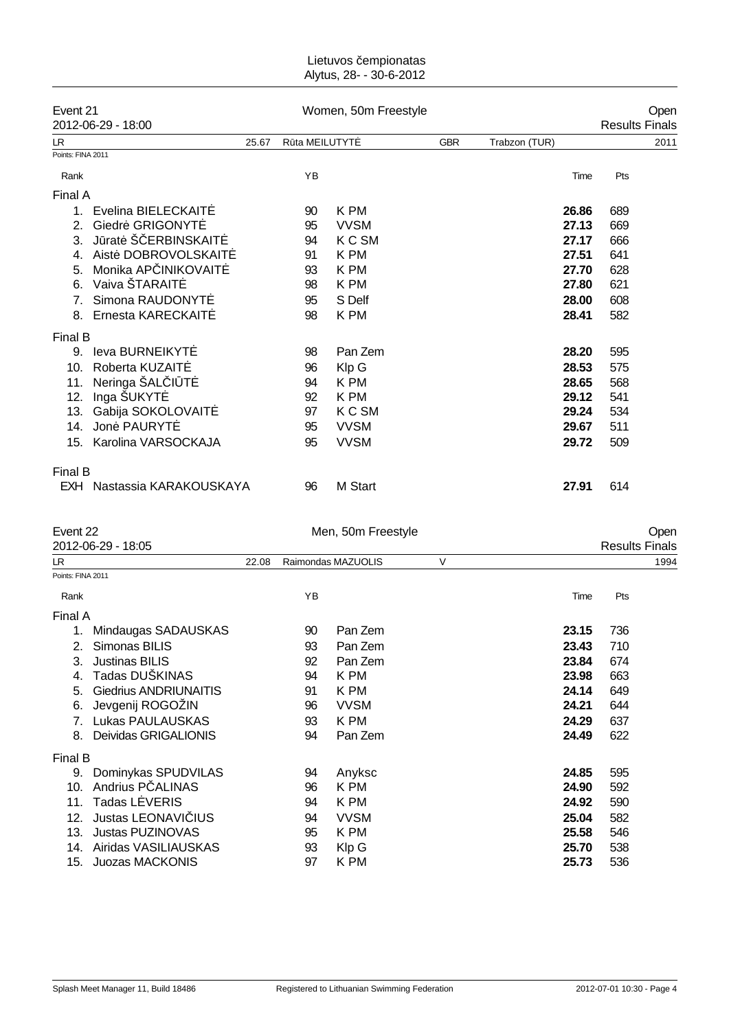### Lietuvos empionatas Alytus, 28- - 30-6-2012

| Event 21<br>2012-06-29 - 18:00                                 |                                                                                                                                             |       | Open<br><b>Results Finals</b>          |                                                                          |            |                                                             |                                               |
|----------------------------------------------------------------|---------------------------------------------------------------------------------------------------------------------------------------------|-------|----------------------------------------|--------------------------------------------------------------------------|------------|-------------------------------------------------------------|-----------------------------------------------|
| LR.                                                            |                                                                                                                                             | 25.67 | R ta MEILUTYT                          |                                                                          | <b>GBR</b> | Trabzon (TUR)                                               | 2011                                          |
| Points: FINA 2011                                              |                                                                                                                                             |       |                                        |                                                                          |            |                                                             |                                               |
| Rank                                                           |                                                                                                                                             |       | YB                                     |                                                                          |            | Time                                                        | Pts                                           |
| Final A                                                        |                                                                                                                                             |       |                                        |                                                                          |            |                                                             |                                               |
| 1<br>2.<br>3.<br>5.<br>6.                                      | Evelina BIELECKAIT<br>Giedr GRIGONYT<br>J rat Š ERBINSKAIT<br>Aist DOBROVOLSKAIT<br>Monika AP INIKOVAIT<br>Vaiva ŠTARAIT<br>Simona RAUDONYT |       | 90<br>95<br>94<br>91<br>93<br>98<br>95 | K PM<br><b>VVSM</b><br>K C SM<br>K PM<br>K PM<br>K PM<br>S Delf          |            | 26.86<br>27.13<br>27.17<br>27.51<br>27.70<br>27.80<br>28.00 | 689<br>669<br>666<br>641<br>628<br>621<br>608 |
| 8.                                                             | Ernesta KARECKAIT                                                                                                                           |       | 98                                     | K PM                                                                     |            | 28.41                                                       | 582                                           |
| <b>Final B</b><br>9.<br>10.<br>11.<br>12.<br>13.<br>14.<br>15. | leva BURNEIKYT<br>Roberta KUZAIT<br>Neringa ŠAL   T<br>Inga ŠUKYT<br>Gabija SOKOLOVAIT<br>Jon PAURYT<br>Karolina VARSOCKAJA                 |       | 98<br>96<br>94<br>92<br>97<br>95<br>95 | Pan Zem<br>Klp G<br>K PM<br>K PM<br>K C SM<br><b>VVSM</b><br><b>VVSM</b> |            | 28.20<br>28.53<br>28.65<br>29.12<br>29.24<br>29.67<br>29.72 | 595<br>575<br>568<br>541<br>534<br>511<br>509 |
| Final B                                                        | EXH Nastassia KARAKOUSKAYA                                                                                                                  |       | 96                                     | M Start                                                                  |            | 27.91                                                       | 614                                           |

| Event 22<br>2012-06-29 - 18:05 |                              |  |                                       | Men, 50m Freestyle | Open<br><b>Results Finals</b> |       |     |  |
|--------------------------------|------------------------------|--|---------------------------------------|--------------------|-------------------------------|-------|-----|--|
| LR.                            |                              |  | Raimondas MAZUOLIS<br>$\vee$<br>22.08 |                    |                               | 1994  |     |  |
| Points: FINA 2011              |                              |  |                                       |                    |                               |       |     |  |
| Rank                           |                              |  | YB                                    |                    |                               | Time  | Pts |  |
|                                |                              |  |                                       |                    |                               |       |     |  |
| Final A                        |                              |  |                                       |                    |                               |       |     |  |
|                                | Mindaugas SADAUSKAS          |  | 90                                    | Pan Zem            |                               | 23.15 | 736 |  |
| 2.                             | Simonas BILIS                |  | 93                                    | Pan Zem            |                               | 23.43 | 710 |  |
| 3.                             | <b>Justinas BILIS</b>        |  | 92                                    | Pan Zem            |                               | 23.84 | 674 |  |
|                                | Tadas DUŠKINAS               |  | 94                                    | K PM               |                               | 23.98 | 663 |  |
| 5.                             | <b>Giedrius ANDRIUNAITIS</b> |  | 91                                    | K PM               |                               | 24.14 | 649 |  |
| 6.                             | Jevgenij ROGOŽIN             |  | 96                                    | <b>VVSM</b>        |                               | 24.21 | 644 |  |
|                                | Lukas PAULAUSKAS             |  | 93                                    | K PM               |                               | 24.29 | 637 |  |
| 8.                             | Deividas GRIGALIONIS         |  | 94                                    | Pan Zem            |                               | 24.49 | 622 |  |
| Final B                        |                              |  |                                       |                    |                               |       |     |  |
| 9.                             | Dominykas SPUDVILAS          |  | 94                                    | Anyksc             |                               | 24.85 | 595 |  |
| 10.                            | Andrius P ALINAS             |  | 96                                    | K PM               |                               | 24.90 | 592 |  |
| 11.                            | Tadas L VERIS                |  | 94                                    | K PM               |                               | 24.92 | 590 |  |
| 12.                            | Justas LEONAVI IUS           |  | 94                                    | <b>VVSM</b>        |                               | 25.04 | 582 |  |
| 13.                            | <b>Justas PUZINOVAS</b>      |  | 95                                    | K PM               |                               | 25.58 | 546 |  |
| 14.                            | Airidas VASILIAUSKAS         |  | 93                                    | Klp G              |                               | 25.70 | 538 |  |
| 15.                            | <b>Juozas MACKONIS</b>       |  | 97                                    | K PM               |                               | 25.73 | 536 |  |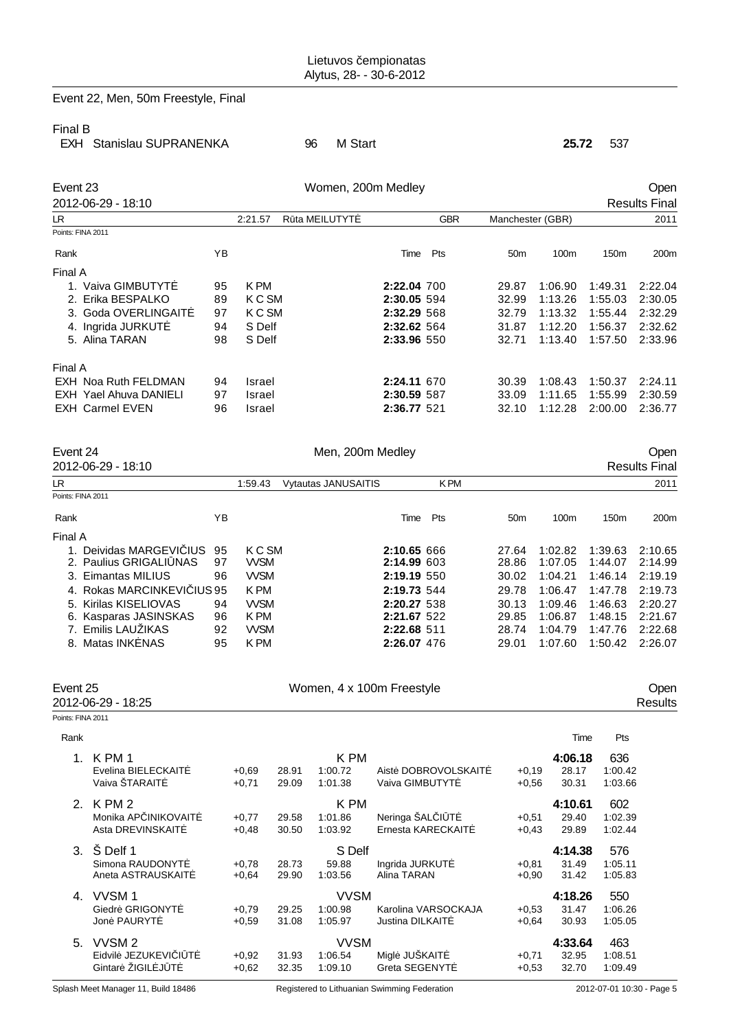# Event 22, Men, 50m Freestyle, Final

### Final B

| . |                          |            |  |
|---|--------------------------|------------|--|
|   | EXH Stanislau SUPRANENKA | 96 M Start |  |

EXH Stanislau SUPRANENKA 96 M Start **25.72** 537

| Event 23 |                        |    |                          | Open        |     |                  |                      |                  |         |
|----------|------------------------|----|--------------------------|-------------|-----|------------------|----------------------|------------------|---------|
|          | 2012-06-29 - 18:10     |    |                          |             |     |                  | <b>Results Final</b> |                  |         |
| LR.      |                        |    | R ta MEILUTYT<br>2:21.57 | <b>GBR</b>  |     | Manchester (GBR) |                      | 2011             |         |
|          | Points: FINA 2011      |    |                          |             |     |                  |                      |                  |         |
| Rank     |                        | ΥB |                          | Time        | Pts | 50 <sub>m</sub>  | 100m                 | 150 <sub>m</sub> | 200m    |
| Final A  |                        |    |                          |             |     |                  |                      |                  |         |
|          | 1. Vaiva GIMBUTYT      | 95 | K PM                     | 2:22.04 700 |     | 29.87            | 1:06.90              | 1:49.31          | 2:22.04 |
|          | 2. Erika BESPALKO      | 89 | K C SM                   | 2:30.05 594 |     | 32.99            | 1:13.26              | 1:55.03          | 2:30.05 |
|          | 3. Goda OVERLINGAIT    | 97 | K C SM                   | 2:32.29 568 |     | 32.79            | 1:13.32              | 1:55.44          | 2:32.29 |
|          | 4. Ingrida JURKUT      | 94 | S Delf                   | 2:32.62 564 |     | 31.87            | 1:12.20              | 1:56.37          | 2:32.62 |
|          | 5. Alina TARAN         | 98 | S Delf                   | 2:33.96 550 |     | 32.71            | 1:13.40              | 1:57.50          | 2:33.96 |
| Final A  |                        |    |                          |             |     |                  |                      |                  |         |
|          | EXH Noa Ruth FELDMAN   | 94 | Israel                   | 2:24.11 670 |     | 30.39            | 1:08.43              | 1:50.37          | 2:24.11 |
|          | EXH Yael Ahuva DANIELI | 97 | Israel                   | 2:30.59 587 |     | 33.09            | 1:11.65              | 1:55.99          | 2:30.59 |
|          | <b>EXH Carmel EVEN</b> | 96 | Israel                   | 2:36.77 521 |     | 32.10            | 1:12.28              | 2:00.00          | 2:36.77 |

| Event 24 |                            |    |            | Men, 200m Medley           |             | Open       |                      |         |                  |                  |
|----------|----------------------------|----|------------|----------------------------|-------------|------------|----------------------|---------|------------------|------------------|
|          | 2012-06-29 - 18:10         |    |            |                            |             |            | <b>Results Final</b> |         |                  |                  |
| LR.      |                            |    | 1:59.43    | <b>Vytautas JANUSAITIS</b> |             | <b>KPM</b> |                      |         |                  | 2011             |
|          | Points: FINA 2011          |    |            |                            |             |            |                      |         |                  |                  |
| Rank     |                            | ΥB |            |                            | Time        | Pts        | 50 <sub>m</sub>      | 100m    | 150 <sub>m</sub> | 200 <sub>m</sub> |
| Final A  |                            |    |            |                            |             |            |                      |         |                  |                  |
|          | Deividas MARGEVI IUS       | 95 | K C SM     |                            | 2:10.65 666 |            | 27.64                | 1:02.82 | 1:39.63          | 2:10.65          |
|          | 2. Paulius GRIGALI NAS     | 97 | <b>WSM</b> |                            | 2:14.99 603 |            | 28.86                | 1:07.05 | 1:44.07          | 2:14.99          |
|          | 3. Eimantas MILIUS         | 96 | <b>WSM</b> |                            | 2:19.19 550 |            | 30.02                | 1:04.21 | 1:46.14          | 2:19.19          |
|          | 4. Rokas MARCINKEVI IUS 95 |    | K PM       |                            | 2:19.73 544 |            | 29.78                | 1:06.47 | 1:47.78          | 2:19.73          |
|          | 5. Kirilas KISELIOVAS      | 94 | <b>WSM</b> |                            | 2:20.27 538 |            | 30.13                | 1:09.46 | 1:46.63          | 2:20.27          |
|          | 6. Kasparas JASINSKAS      | 96 | K PM       |                            | 2:21.67 522 |            | 29.85                | 1:06.87 | 1:48.15          | 2:21.67          |
|          | 7. Emilis LAUŽIKAS         | 92 | <b>WSM</b> |                            | 2:22.68 511 |            | 28.74                | 1:04.79 | 1:47.76          | 2:22.68          |
| 8.       | Matas INK NAS              | 95 | K PM       |                            | 2:26.07 476 |            | 29.01                | 1:07.60 | 1:50.42          | 2:26.07          |

| Event 25          | 2012-06-29 - 18:25                                           |                    | Oper<br>Results |                                   |                                                |                    |                           |                           |  |
|-------------------|--------------------------------------------------------------|--------------------|-----------------|-----------------------------------|------------------------------------------------|--------------------|---------------------------|---------------------------|--|
| Points: FINA 2011 |                                                              |                    |                 |                                   |                                                |                    |                           |                           |  |
| Rank              |                                                              |                    |                 |                                   |                                                |                    | Time                      | Pts                       |  |
| $1_{-}$           | K PM 1<br>Evelina BIELECKAIT<br>Vaiva ŠTARAIT                | $+0.69$<br>$+0,71$ | 28.91<br>29.09  | K PM<br>1:00.72<br>1:01.38        | <b>DOBROVOLSKAIT</b><br>Aist<br>Vaiva GIMBUTYT | $+0,19$<br>$+0,56$ | 4:06.18<br>28.17<br>30.31 | 636<br>1:00.42<br>1:03.66 |  |
| 2 <sup>1</sup>    | K PM 2<br>Monika AP INIKOVAIT<br>Asta DREVINSKAIT            | $+0,77$<br>$+0,48$ | 29.58<br>30.50  | K PM<br>1:01.86<br>1:03.92        | Neringa SAL   T<br>Ernesta KARECKAIT           | $+0,51$<br>$+0,43$ | 4:10.61<br>29.40<br>29.89 | 602<br>1:02.39<br>1:02.44 |  |
| 3.                | \$ Delf 1<br>Simona RAUDONYT<br>Aneta ASTRAUSKAIT            | $+0,78$<br>$+0,64$ | 28.73<br>29.90  | S Delf<br>59.88<br>1:03.56        | Ingrida JURKUT<br>Alina TARAN                  | $+0.81$<br>$+0,90$ | 4:14.38<br>31.49<br>31.42 | 576<br>1:05.11<br>1:05.83 |  |
| 4.                | VVSM <sub>1</sub><br>Giedr GRIGONYT<br>Jon PAURYT            | $+0,79$<br>$+0.59$ | 29.25<br>31.08  | <b>VVSM</b><br>1:00.98<br>1:05.97 | Karolina VARSOCKAJA<br>Justina DILKAIT         | $+0,53$<br>$+0.64$ | 4:18.26<br>31.47<br>30.93 | 550<br>1:06.26<br>1:05.05 |  |
| 5.                | VVSM <sub>2</sub><br>Eidvil JEZUKEVI I T<br>Gintar ŽIGIL J T | $+0,92$<br>$+0,62$ | 31.93<br>32.35  | <b>VVSM</b><br>1:06.54<br>1:09.10 | Migl JUŠKAIT<br>Greta SEGENYT                  | $+0,71$<br>$+0,53$ | 4:33.64<br>32.95<br>32.70 | 463<br>1.08.51<br>1:09.49 |  |